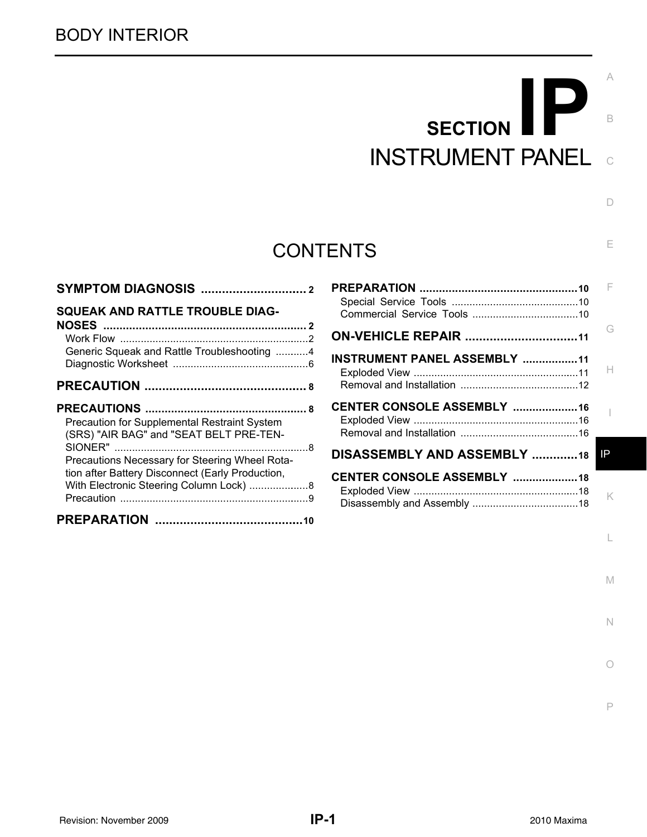# C **SECTION** B INSTRUMENT PANEL

 $\Box$ 

E

M

N

O

P

# **CONTENTS**

| <b>SQUEAK AND RATTLE TROUBLE DIAG-</b><br>G<br><b>ON-VEHICLE REPAIR 11</b><br>Generic Squeak and Rattle Troubleshooting 4<br>INSTRUMENT PANEL ASSEMBLY 11<br><b>CENTER CONSOLE ASSEMBLY 16</b><br>Precaution for Supplemental Restraint System<br>(SRS) "AIR BAG" and "SEAT BELT PRE-TEN-<br>DISASSEMBLY AND ASSEMBLY 18<br>IP<br>Precautions Necessary for Steering Wheel Rota-<br>tion after Battery Disconnect (Early Production,<br><b>CENTER CONSOLE ASSEMBLY 18</b><br>With Electronic Steering Column Lock)  8 |  |    |
|-----------------------------------------------------------------------------------------------------------------------------------------------------------------------------------------------------------------------------------------------------------------------------------------------------------------------------------------------------------------------------------------------------------------------------------------------------------------------------------------------------------------------|--|----|
|                                                                                                                                                                                                                                                                                                                                                                                                                                                                                                                       |  |    |
|                                                                                                                                                                                                                                                                                                                                                                                                                                                                                                                       |  |    |
|                                                                                                                                                                                                                                                                                                                                                                                                                                                                                                                       |  | H. |
|                                                                                                                                                                                                                                                                                                                                                                                                                                                                                                                       |  |    |
|                                                                                                                                                                                                                                                                                                                                                                                                                                                                                                                       |  |    |
|                                                                                                                                                                                                                                                                                                                                                                                                                                                                                                                       |  |    |
|                                                                                                                                                                                                                                                                                                                                                                                                                                                                                                                       |  | K  |
|                                                                                                                                                                                                                                                                                                                                                                                                                                                                                                                       |  |    |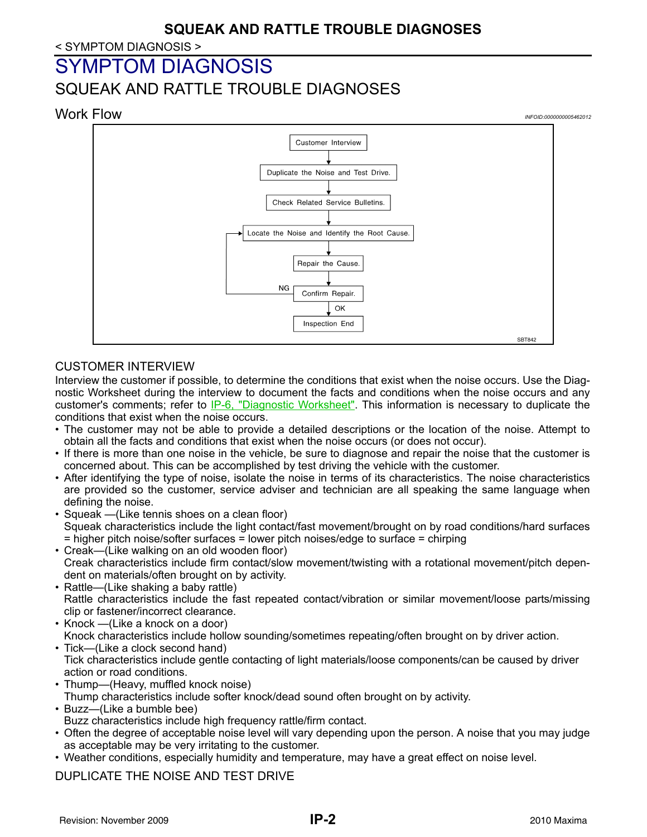#### < SYMPTOM DIAGNOSIS >

# <span id="page-1-0"></span>SYMPTOM DIAGNOSIS

# <span id="page-1-1"></span>SQUEAK AND RATTLE TROUBLE DIAGNOSES

<span id="page-1-2"></span>

# CUSTOMER INTERVIEW

Interview the customer if possible, to determine the conditions that exist when the noise occurs. Use the Diagnostic Worksheet during the interview to document the facts and conditions when the noise occurs and any customer's comments; refer to [IP-6, "Diagnostic Worksheet".](#page-5-0) This information is necessary to duplicate the conditions that exist when the noise occurs.

- The customer may not be able to provide a detailed descriptions or the location of the noise. Attempt to obtain all the facts and conditions that exist when the noise occurs (or does not occur).
- If there is more than one noise in the vehicle, be sure to diagnose and repair the noise that the customer is concerned about. This can be accomplished by test driving the vehicle with the customer.
- After identifying the type of noise, isolate the noise in terms of its characteristics. The noise characteristics are provided so the customer, service adviser and technician are all speaking the same language when defining the noise.
- Squeak —(Like tennis shoes on a clean floor) Squeak characteristics include the light contact/fast movement/brought on by road conditions/hard surfaces = higher pitch noise/softer surfaces = lower pitch noises/edge to surface = chirping
- Creak—(Like walking on an old wooden floor) Creak characteristics include firm contact/slow movement/twisting with a rotational movement/pitch dependent on materials/often brought on by activity.
- Rattle—(Like shaking a baby rattle) Rattle characteristics include the fast repeated contact/vibration or similar movement/loose parts/missing clip or fastener/incorrect clearance.
- Knock —(Like a knock on a door) Knock characteristics include hollow sounding/sometimes repeating/often brought on by driver action. • Tick—(Like a clock second hand)
- Tick characteristics include gentle contacting of light materials/loose components/can be caused by driver action or road conditions.
- Thump—(Heavy, muffled knock noise) Thump characteristics include softer knock/dead sound often brought on by activity.
- Buzz—(Like a bumble bee) Buzz characteristics include high frequency rattle/firm contact.
- Often the degree of acceptable noise level will vary depending upon the person. A noise that you may judge as acceptable may be very irritating to the customer.
- Weather conditions, especially humidity and temperature, may have a great effect on noise level.

## DUPLICATE THE NOISE AND TEST DRIVE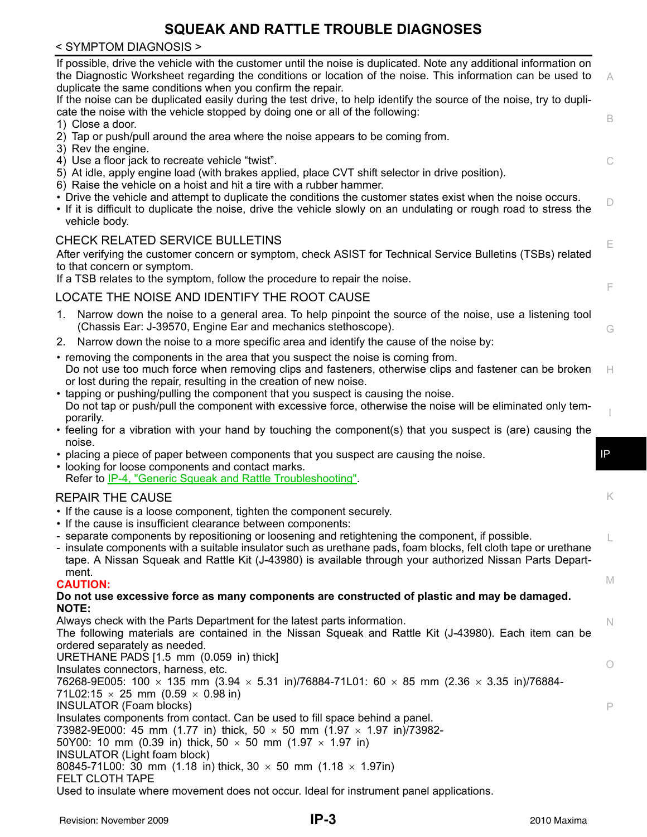### < SYMPTOM DIAGNOSIS >

| If possible, drive the vehicle with the customer until the noise is duplicated. Note any additional information on<br>the Diagnostic Worksheet regarding the conditions or location of the noise. This information can be used to<br>duplicate the same conditions when you confirm the repair.                                 | A           |
|---------------------------------------------------------------------------------------------------------------------------------------------------------------------------------------------------------------------------------------------------------------------------------------------------------------------------------|-------------|
| If the noise can be duplicated easily during the test drive, to help identify the source of the noise, try to dupli-<br>cate the noise with the vehicle stopped by doing one or all of the following:<br>1) Close a door.                                                                                                       | $\mathsf B$ |
| 2) Tap or push/pull around the area where the noise appears to be coming from.                                                                                                                                                                                                                                                  |             |
| 3) Rev the engine.<br>4) Use a floor jack to recreate vehicle "twist".                                                                                                                                                                                                                                                          | C           |
| 5) At idle, apply engine load (with brakes applied, place CVT shift selector in drive position).<br>6) Raise the vehicle on a hoist and hit a tire with a rubber hammer.                                                                                                                                                        |             |
| • Drive the vehicle and attempt to duplicate the conditions the customer states exist when the noise occurs.<br>• If it is difficult to duplicate the noise, drive the vehicle slowly on an undulating or rough road to stress the<br>vehicle body.                                                                             | D           |
| <b>CHECK RELATED SERVICE BULLETINS</b>                                                                                                                                                                                                                                                                                          | E           |
| After verifying the customer concern or symptom, check ASIST for Technical Service Bulletins (TSBs) related<br>to that concern or symptom.                                                                                                                                                                                      |             |
| If a TSB relates to the symptom, follow the procedure to repair the noise.                                                                                                                                                                                                                                                      | F           |
| LOCATE THE NOISE AND IDENTIFY THE ROOT CAUSE                                                                                                                                                                                                                                                                                    |             |
| 1. Narrow down the noise to a general area. To help pinpoint the source of the noise, use a listening tool<br>(Chassis Ear: J-39570, Engine Ear and mechanics stethoscope).                                                                                                                                                     | G           |
| 2. Narrow down the noise to a more specific area and identify the cause of the noise by:                                                                                                                                                                                                                                        |             |
| • removing the components in the area that you suspect the noise is coming from.<br>Do not use too much force when removing clips and fasteners, otherwise clips and fastener can be broken<br>or lost during the repair, resulting in the creation of new noise.                                                               | H           |
| • tapping or pushing/pulling the component that you suspect is causing the noise.<br>Do not tap or push/pull the component with excessive force, otherwise the noise will be eliminated only tem-<br>porarily.                                                                                                                  |             |
| • feeling for a vibration with your hand by touching the component(s) that you suspect is (are) causing the                                                                                                                                                                                                                     |             |
| noise.                                                                                                                                                                                                                                                                                                                          | IP          |
| • placing a piece of paper between components that you suspect are causing the noise.<br>• looking for loose components and contact marks.<br>Refer to IP-4, "Generic Squeak and Rattle Troubleshooting".                                                                                                                       |             |
| <b>REPAIR THE CAUSE</b>                                                                                                                                                                                                                                                                                                         | K           |
| • If the cause is a loose component, tighten the component securely.                                                                                                                                                                                                                                                            |             |
| • If the cause is insufficient clearance between components:                                                                                                                                                                                                                                                                    |             |
| - separate components by repositioning or loosening and retightening the component, if possible.<br>- insulate components with a suitable insulator such as urethane pads, foam blocks, felt cloth tape or urethane<br>tape. A Nissan Squeak and Rattle Kit (J-43980) is available through your authorized Nissan Parts Depart- |             |
| ment.<br><b>CAUTION:</b>                                                                                                                                                                                                                                                                                                        | M           |
| Do not use excessive force as many components are constructed of plastic and may be damaged.                                                                                                                                                                                                                                    |             |
| <b>NOTE:</b>                                                                                                                                                                                                                                                                                                                    |             |
| Always check with the Parts Department for the latest parts information.<br>The following materials are contained in the Nissan Squeak and Rattle Kit (J-43980). Each item can be                                                                                                                                               | $\mathbb N$ |
| ordered separately as needed.<br>URETHANE PADS [1.5 mm (0.059 in) thick]                                                                                                                                                                                                                                                        |             |
| Insulates connectors, harness, etc.<br>76268-9E005: 100 $\times$ 135 mm (3.94 $\times$ 5.31 in)/76884-71L01: 60 $\times$ 85 mm (2.36 $\times$ 3.35 in)/76884-                                                                                                                                                                   | O           |
| 71L02:15 $\times$ 25 mm (0.59 $\times$ 0.98 in)<br><b>INSULATOR (Foam blocks)</b>                                                                                                                                                                                                                                               | P           |
| Insulates components from contact. Can be used to fill space behind a panel.                                                                                                                                                                                                                                                    |             |
| 73982-9E000: 45 mm (1.77 in) thick, 50 $\times$ 50 mm (1.97 $\times$ 1.97 in)/73982-                                                                                                                                                                                                                                            |             |
| 50Y00: 10 mm (0.39 in) thick, 50 $\times$ 50 mm (1.97 $\times$ 1.97 in)<br>INSULATOR (Light foam block)                                                                                                                                                                                                                         |             |
| 80845-71L00: 30 mm (1.18 in) thick, 30 $\times$ 50 mm (1.18 $\times$ 1.97in)                                                                                                                                                                                                                                                    |             |
| FELT CLOTH TAPE                                                                                                                                                                                                                                                                                                                 |             |

Used to insulate where movement does not occur. Ideal for instrument panel applications.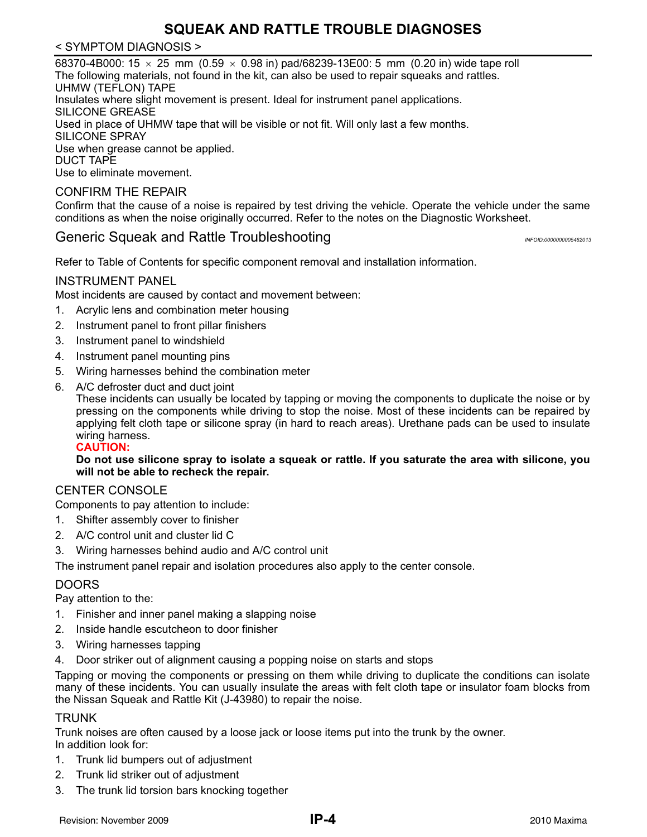#### < SYMPTOM DIAGNOSIS >

68370-4B000: 15  $\times$  25 mm (0.59  $\times$  0.98 in) pad/68239-13E00: 5 mm (0.20 in) wide tape roll The following materials, not found in the kit, can also be used to repair squeaks and rattles. UHMW (TEFLON) TAPE Insulates where slight movement is present. Ideal for instrument panel applications. SILICONE GREASE Used in place of UHMW tape that will be visible or not fit. Will only last a few months. SILICONE SPRAY Use when grease cannot be applied. DUCT TAPE Use to eliminate movement.

#### CONFIRM THE REPAIR

Confirm that the cause of a noise is repaired by test driving the vehicle. Operate the vehicle under the same conditions as when the noise originally occurred. Refer to the notes on the Diagnostic Worksheet.

## <span id="page-3-0"></span>Generic Squeak and Rattle Troubleshooting *Information and <i>INFOID:000000005462013*

Refer to Table of Contents for specific component removal and installation information.

#### INSTRUMENT PANEL

Most incidents are caused by contact and movement between:

- 1. Acrylic lens and combination meter housing
- 2. Instrument panel to front pillar finishers
- 3. Instrument panel to windshield
- 4. Instrument panel mounting pins
- 5. Wiring harnesses behind the combination meter
- 6. A/C defroster duct and duct joint

These incidents can usually be located by tapping or moving the components to duplicate the noise or by pressing on the components while driving to stop the noise. Most of these incidents can be repaired by applying felt cloth tape or silicone spray (in hard to reach areas). Urethane pads can be used to insulate wiring harness.

**CAUTION:**

**Do not use silicone spray to isolate a squeak or rattle. If you saturate the area with silicone, you will not be able to recheck the repair.**

#### CENTER CONSOLE

Components to pay attention to include:

- 1. Shifter assembly cover to finisher
- 2. A/C control unit and cluster lid C
- 3. Wiring harnesses behind audio and A/C control unit

The instrument panel repair and isolation procedures also apply to the center console.

#### DOORS

Pay attention to the:

- 1. Finisher and inner panel making a slapping noise
- 2. Inside handle escutcheon to door finisher
- 3. Wiring harnesses tapping
- 4. Door striker out of alignment causing a popping noise on starts and stops

Tapping or moving the components or pressing on them while driving to duplicate the conditions can isolate many of these incidents. You can usually insulate the areas with felt cloth tape or insulator foam blocks from the Nissan Squeak and Rattle Kit (J-43980) to repair the noise.

#### TRUNK

Trunk noises are often caused by a loose jack or loose items put into the trunk by the owner. In addition look for:

- 1. Trunk lid bumpers out of adjustment
- 2. Trunk lid striker out of adjustment
- 3. The trunk lid torsion bars knocking together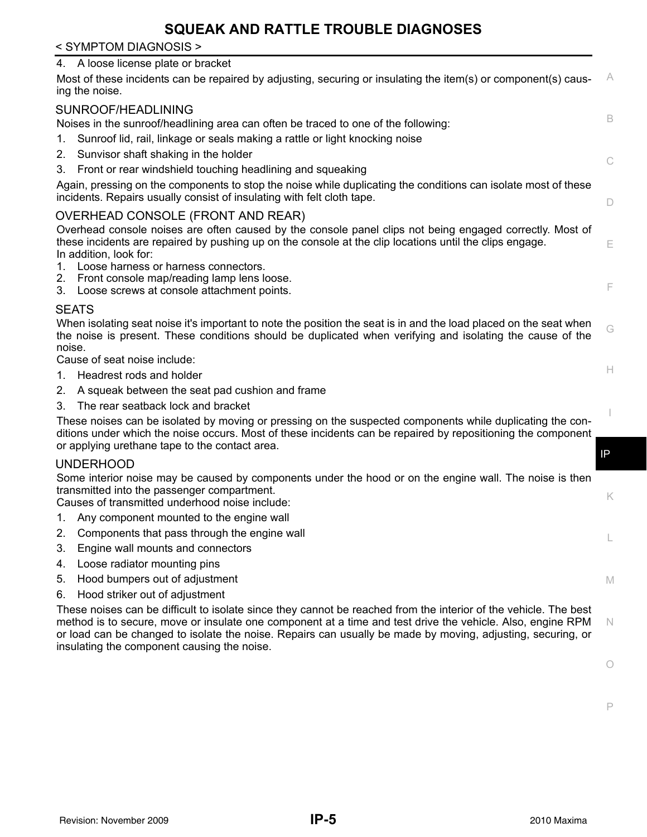#### < SYMPTOM DIAGNOSIS >

#### 4. A loose license plate or bracket

| 4. A loose license plate or bracket  |                                                                                                                                                                                                                                                                                                                                                                                              |              |
|--------------------------------------|----------------------------------------------------------------------------------------------------------------------------------------------------------------------------------------------------------------------------------------------------------------------------------------------------------------------------------------------------------------------------------------------|--------------|
| ing the noise.                       | Most of these incidents can be repaired by adjusting, securing or insulating the item(s) or component(s) caus-                                                                                                                                                                                                                                                                               | A            |
| SUNROOF/HEADLINING                   |                                                                                                                                                                                                                                                                                                                                                                                              |              |
|                                      | Noises in the sunroof/headlining area can often be traced to one of the following:                                                                                                                                                                                                                                                                                                           | B            |
| 1.                                   | Sunroof lid, rail, linkage or seals making a rattle or light knocking noise                                                                                                                                                                                                                                                                                                                  |              |
| 2.                                   | Sunvisor shaft shaking in the holder                                                                                                                                                                                                                                                                                                                                                         |              |
| 3.                                   | Front or rear windshield touching headlining and squeaking                                                                                                                                                                                                                                                                                                                                   | C            |
|                                      | Again, pressing on the components to stop the noise while duplicating the conditions can isolate most of these<br>incidents. Repairs usually consist of insulating with felt cloth tape.                                                                                                                                                                                                     | D            |
|                                      | OVERHEAD CONSOLE (FRONT AND REAR)                                                                                                                                                                                                                                                                                                                                                            |              |
| In addition, look for:               | Overhead console noises are often caused by the console panel clips not being engaged correctly. Most of<br>these incidents are repaired by pushing up on the console at the clip locations until the clips engage.                                                                                                                                                                          | Ε            |
|                                      | 1. Loose harness or harness connectors.<br>2. Front console map/reading lamp lens loose.<br>3. Loose screws at console attachment points.                                                                                                                                                                                                                                                    | F            |
| <b>SEATS</b>                         |                                                                                                                                                                                                                                                                                                                                                                                              |              |
| noise.                               | When isolating seat noise it's important to note the position the seat is in and the load placed on the seat when<br>the noise is present. These conditions should be duplicated when verifying and isolating the cause of the                                                                                                                                                               | G            |
| Cause of seat noise include:         |                                                                                                                                                                                                                                                                                                                                                                                              |              |
| Headrest rods and holder<br>$1_{-}$  |                                                                                                                                                                                                                                                                                                                                                                                              | Н            |
| 2.                                   | A squeak between the seat pad cushion and frame                                                                                                                                                                                                                                                                                                                                              |              |
| 3.                                   | The rear seatback lock and bracket                                                                                                                                                                                                                                                                                                                                                           |              |
|                                      | These noises can be isolated by moving or pressing on the suspected components while duplicating the con-<br>ditions under which the noise occurs. Most of these incidents can be repaired by repositioning the component<br>or applying urethane tape to the contact area.                                                                                                                  |              |
| <b>UNDERHOOD</b>                     |                                                                                                                                                                                                                                                                                                                                                                                              | $\mathsf{P}$ |
|                                      | Some interior noise may be caused by components under the hood or on the engine wall. The noise is then<br>transmitted into the passenger compartment.<br>Causes of transmitted underhood noise include:                                                                                                                                                                                     | K            |
|                                      | 1. Any component mounted to the engine wall                                                                                                                                                                                                                                                                                                                                                  |              |
|                                      | 2. Components that pass through the engine wall                                                                                                                                                                                                                                                                                                                                              |              |
| 3.                                   | Engine wall mounts and connectors                                                                                                                                                                                                                                                                                                                                                            |              |
| Loose radiator mounting pins<br>4.   |                                                                                                                                                                                                                                                                                                                                                                                              |              |
| 5.                                   | Hood bumpers out of adjustment                                                                                                                                                                                                                                                                                                                                                               | M            |
| Hood striker out of adjustment<br>6. |                                                                                                                                                                                                                                                                                                                                                                                              |              |
|                                      | These noises can be difficult to isolate since they cannot be reached from the interior of the vehicle. The best<br>method is to secure, move or insulate one component at a time and test drive the vehicle. Also, engine RPM<br>or load can be changed to isolate the noise. Repairs can usually be made by moving, adjusting, securing, or<br>insulating the component causing the noise. | N.           |
|                                      |                                                                                                                                                                                                                                                                                                                                                                                              | O            |
|                                      |                                                                                                                                                                                                                                                                                                                                                                                              |              |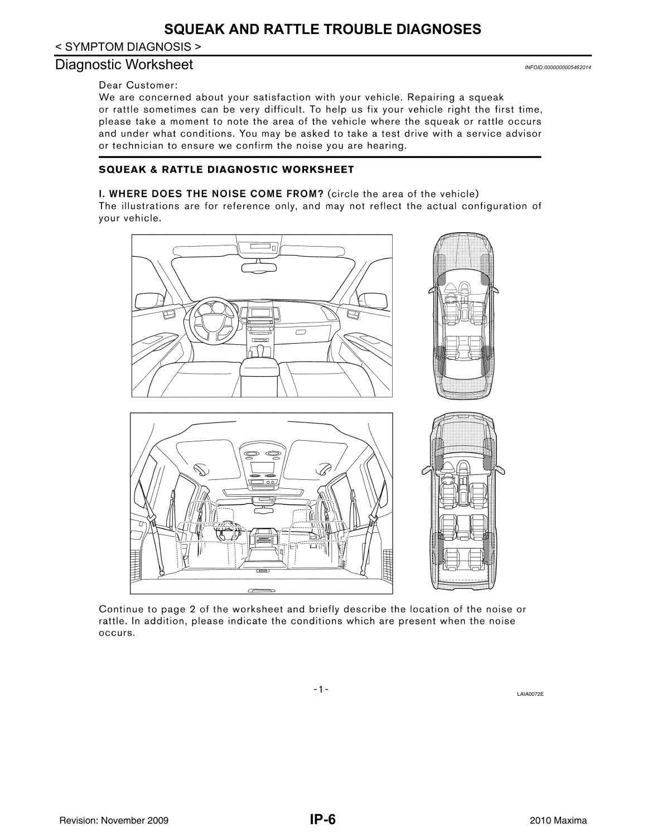< SYMPTOM DIAGNOSIS >

#### <span id="page-5-0"></span>Diagnostic Worksheet *INFOID:0000000005462014*

#### Dear Customer:

We are concerned about your satisfaction with your vehicle. Repairing a squeak or rattle sometimes can be very difficult. To help us fix your vehicle right the first time, please take a moment to note the area of the vehicle where the squeak or rattle occurs and under what conditions. You may be asked to take a test drive with a service advisor or technician to ensure we confirm the noise you are hearing.

#### **SQUEAK & RATTLE DIAGNOSTIC WORKSHEET**

#### I. WHERE DOES THE NOISE COME FROM? (circle the area of the vehicle)

The illustrations are for reference only, and may not reflect the actual configuration of your vehicle.



Continue to page 2 of the worksheet and briefly describe the location of the noise or rattle. In addition, please indicate the conditions which are present when the noise occurs.

LAIA0072E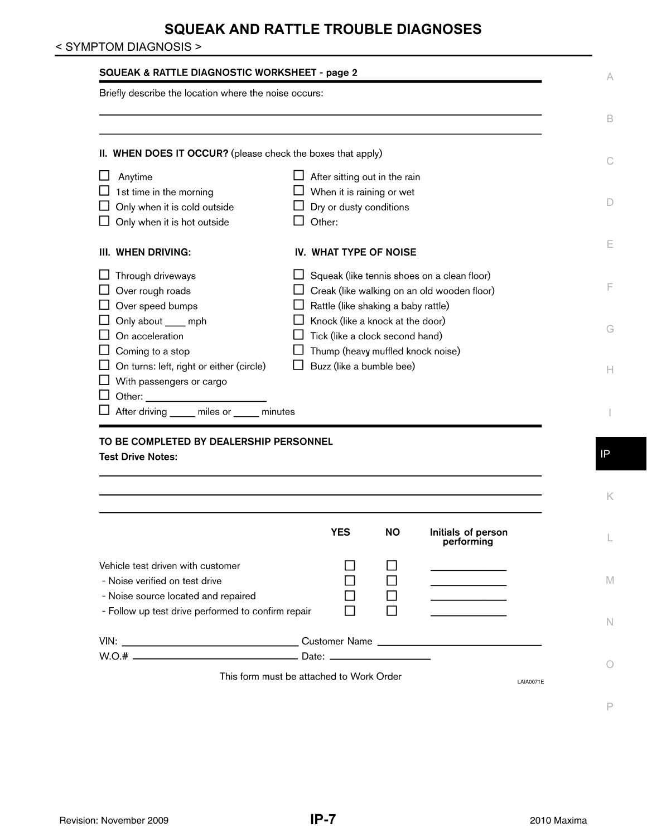### < SYMPTOM DIAGNOSIS >

| Briefly describe the location where the noise occurs:                |                                                              |
|----------------------------------------------------------------------|--------------------------------------------------------------|
|                                                                      |                                                              |
| II. WHEN DOES IT OCCUR? (please check the boxes that apply)          |                                                              |
| Anytime                                                              | $\Box$ After sitting out in the rain                         |
| 1st time in the morning                                              | When it is raining or wet                                    |
| Only when it is cold outside                                         | Dry or dusty conditions                                      |
| Only when it is hot outside                                          | Other:                                                       |
| III. WHEN DRIVING:                                                   | IV. WHAT TYPE OF NOISE                                       |
| Through driveways                                                    | $\Box$ Squeak (like tennis shoes on a clean floor)           |
| Over rough roads                                                     | $\Box$ Creak (like walking on an old wooden floor)           |
| Over speed bumps                                                     | Rattle (like shaking a baby rattle)                          |
| Only about ____ mph                                                  | $\Box$ Knock (like a knock at the door)                      |
| On acceleration                                                      | Tick (like a clock second hand)                              |
| Coming to a stop                                                     | Thump (heavy muffled knock noise)                            |
| On turns: left, right or either (circle)<br>With passengers or cargo | Buzz (like a bumble bee)                                     |
|                                                                      |                                                              |
|                                                                      |                                                              |
| After driving _____ miles or _____ minutes                           |                                                              |
|                                                                      |                                                              |
|                                                                      |                                                              |
|                                                                      |                                                              |
|                                                                      |                                                              |
|                                                                      |                                                              |
| TO BE COMPLETED BY DEALERSHIP PERSONNEL<br><b>Test Drive Notes:</b>  | <b>YES</b><br><b>NO</b><br>Initials of person<br>performing  |
|                                                                      |                                                              |
| Vehicle test driven with customer<br>- Noise verified on test drive  |                                                              |
| - Noise source located and repaired                                  | and the control of the control of                            |
|                                                                      |                                                              |
| - Follow up test drive performed to confirm repair                   |                                                              |
|                                                                      |                                                              |
|                                                                      | This form must be attached to Work Order<br><b>LAIA0071E</b> |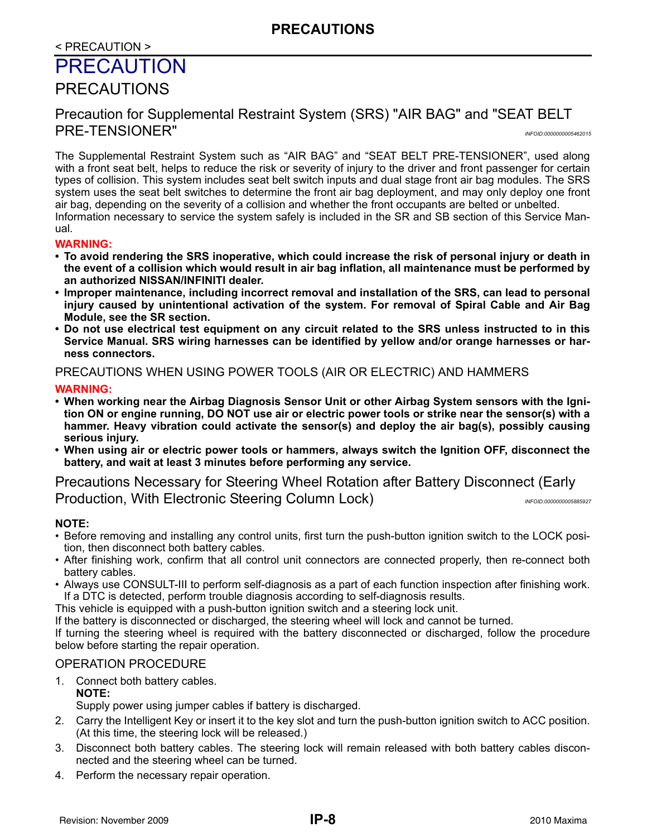### < PRECAUTION >

# <span id="page-7-0"></span>PRECAUTION

# <span id="page-7-1"></span>PRECAUTIONS

# <span id="page-7-2"></span>Precaution for Supplemental Restraint System (SRS) "AIR BAG" and "SEAT BELT PRE-TENSIONER" *INFOID:0000000005462015*

The Supplemental Restraint System such as "AIR BAG" and "SEAT BELT PRE-TENSIONER", used along with a front seat belt, helps to reduce the risk or severity of injury to the driver and front passenger for certain types of collision. This system includes seat belt switch inputs and dual stage front air bag modules. The SRS system uses the seat belt switches to determine the front air bag deployment, and may only deploy one front air bag, depending on the severity of a collision and whether the front occupants are belted or unbelted. Information necessary to service the system safely is included in the SR and SB section of this Service Man-

#### ual. **WARNING:**

- **To avoid rendering the SRS inoperative, which could increase the risk of personal injury or death in the event of a collision which would result in air bag inflation, all maintenance must be performed by an authorized NISSAN/INFINITI dealer.**
- **Improper maintenance, including incorrect removal and installation of the SRS, can lead to personal injury caused by unintentional activation of the system. For removal of Spiral Cable and Air Bag Module, see the SR section.**
- **Do not use electrical test equipment on any circuit related to the SRS unless instructed to in this Service Manual. SRS wiring harnesses can be identified by yellow and/or orange harnesses or harness connectors.**

#### PRECAUTIONS WHEN USING POWER TOOLS (AIR OR ELECTRIC) AND HAMMERS

#### **WARNING:**

- **When working near the Airbag Diagnosis Sensor Unit or other Airbag System sensors with the Ignition ON or engine running, DO NOT use air or electric power tools or strike near the sensor(s) with a hammer. Heavy vibration could activate the sensor(s) and deploy the air bag(s), possibly causing serious injury.**
- **When using air or electric power tools or hammers, always switch the Ignition OFF, disconnect the battery, and wait at least 3 minutes before performing any service.**

<span id="page-7-3"></span>Precautions Necessary for Steering Wheel Rotation after Battery Disconnect (Early Production, With Electronic Steering Column Lock) *INFOID:0000000005885927* 

#### **NOTE:**

- Before removing and installing any control units, first turn the push-button ignition switch to the LOCK position, then disconnect both battery cables.
- After finishing work, confirm that all control unit connectors are connected properly, then re-connect both battery cables.
- Always use CONSULT-III to perform self-diagnosis as a part of each function inspection after finishing work. If a DTC is detected, perform trouble diagnosis according to self-diagnosis results.

This vehicle is equipped with a push-button ignition switch and a steering lock unit.

If the battery is disconnected or discharged, the steering wheel will lock and cannot be turned.

If turning the steering wheel is required with the battery disconnected or discharged, follow the procedure below before starting the repair operation.

#### OPERATION PROCEDURE

- 1. Connect both battery cables. **NOTE:** Supply power using jumper cables if battery is discharged.
- 2. Carry the Intelligent Key or insert it to the key slot and turn the push-button ignition switch to ACC position. (At this time, the steering lock will be released.)
- 3. Disconnect both battery cables. The steering lock will remain released with both battery cables disconnected and the steering wheel can be turned.
- 4. Perform the necessary repair operation.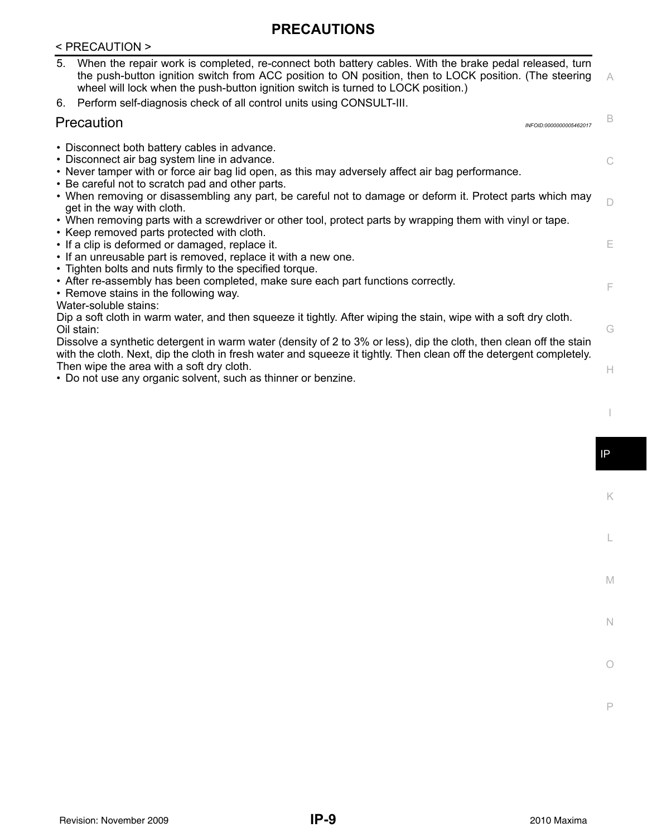# **PRECAUTIONS**

#### < PRECAUTION >

<span id="page-8-0"></span>

| 5. | When the repair work is completed, re-connect both battery cables. With the brake pedal released, turn<br>the push-button ignition switch from ACC position to ON position, then to LOCK position. (The steering<br>wheel will lock when the push-button ignition switch is turned to LOCK position.) |                         | $\overline{A}$ |
|----|-------------------------------------------------------------------------------------------------------------------------------------------------------------------------------------------------------------------------------------------------------------------------------------------------------|-------------------------|----------------|
|    | 6. Perform self-diagnosis check of all control units using CONSULT-III.                                                                                                                                                                                                                               |                         |                |
|    | Precaution                                                                                                                                                                                                                                                                                            | INFOID:0000000005462017 | B              |
|    | • Disconnect both battery cables in advance.<br>• Disconnect air bag system line in advance.<br>• Never tamper with or force air bag lid open, as this may adversely affect air bag performance.                                                                                                      |                         | C.             |

- Be careful not to scratch pad and other parts.
- $\Box$ • When removing or disassembling any part, be careful not to damage or deform it. Protect parts which may get in the way with cloth.
- When removing parts with a screwdriver or other tool, protect parts by wrapping them with vinyl or tape.
- Keep removed parts protected with cloth.
- If a clip is deformed or damaged, replace it.
- If an unreusable part is removed, replace it with a new one.
- Tighten bolts and nuts firmly to the specified torque.
- After re-assembly has been completed, make sure each part functions correctly.
- Remove stains in the following way.
- Water-soluble stains:

Dip a soft cloth in warm water, and then squeeze it tightly. After wiping the stain, wipe with a soft dry cloth. Oil stain:

Dissolve a synthetic detergent in warm water (density of 2 to 3% or less), dip the cloth, then clean off the stain with the cloth. Next, dip the cloth in fresh water and squeeze it tightly. Then clean off the detergent completely. Then wipe the area with a soft dry cloth.

• Do not use any organic solvent, such as thinner or benzine.

E

F

G

H

I

IP

K

L

M

N

O

P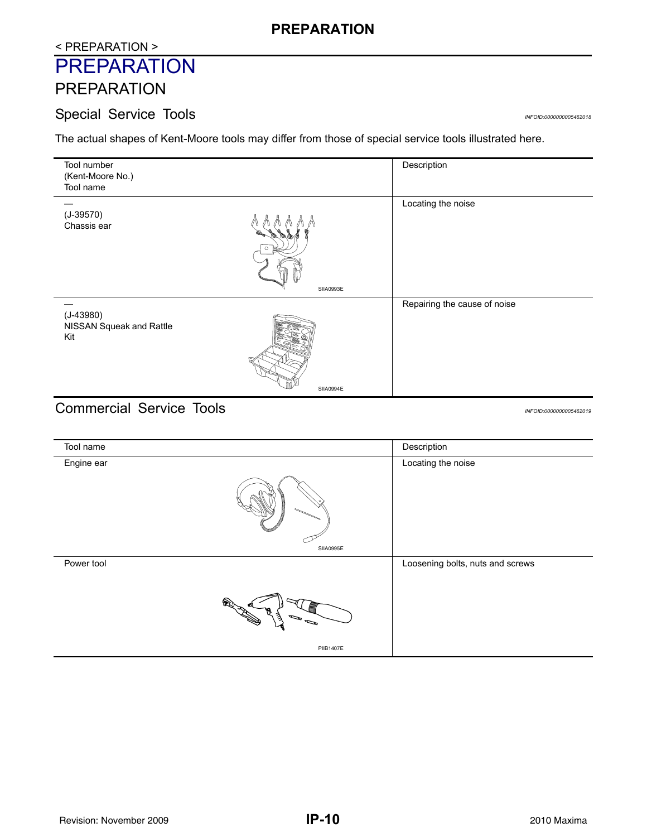# **PREPARATION**

# < PREPARATION >

# <span id="page-9-0"></span>**PREPARATION**

# <span id="page-9-1"></span>PREPARATION

# <span id="page-9-2"></span>Special Service Tools *INFOID:0000000005462018*

The actual shapes of Kent-Moore tools may differ from those of special service tools illustrated here.

| Tool number              |           | Description                  |
|--------------------------|-----------|------------------------------|
| (Kent-Moore No.)         |           |                              |
| Tool name                |           |                              |
|                          |           | Locating the noise           |
| $(J-39570)$              |           |                              |
| Chassis ear              |           |                              |
|                          |           |                              |
|                          | ⊙ ⊫       |                              |
|                          |           |                              |
|                          |           |                              |
|                          | SIIA0993E |                              |
|                          |           | Repairing the cause of noise |
| $(J-43980)$              |           |                              |
| NISSAN Squeak and Rattle |           |                              |
| Kit                      |           |                              |
|                          |           |                              |
|                          |           |                              |
|                          |           |                              |
|                          |           |                              |
|                          | SIIA0994E |                              |
| $\sim$ $\sim$            | . .       |                              |

# <span id="page-9-3"></span>Commercial Service Tools *INFOID:0000000005462019*

| Tool name  |                                                      | Description                      |
|------------|------------------------------------------------------|----------------------------------|
| Engine ear |                                                      | Locating the noise               |
|            | SIIA0995E                                            |                                  |
| Power tool |                                                      | Loosening bolts, nuts and screws |
|            | ξ<br>$\mathcal{L}_{\mathcal{A}}$<br><b>PIIB1407E</b> |                                  |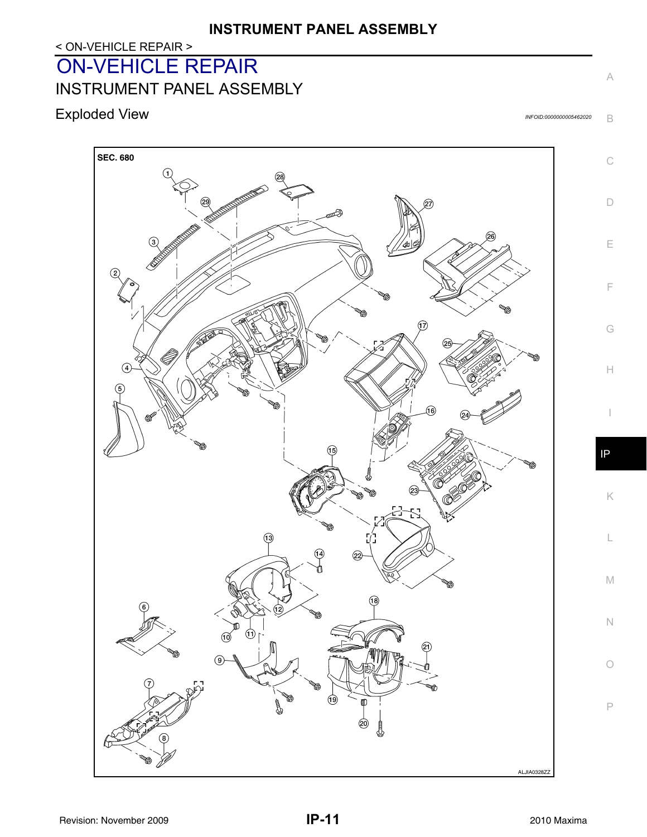# < ON-VEHICLE REPAIR >

# <span id="page-10-0"></span>ON-VEHICLE REPAIR

<span id="page-10-1"></span>INSTRUMENT PANEL ASSEMBLY

# <span id="page-10-2"></span>Exploded View *INFOID:0000000005462020*

B

A

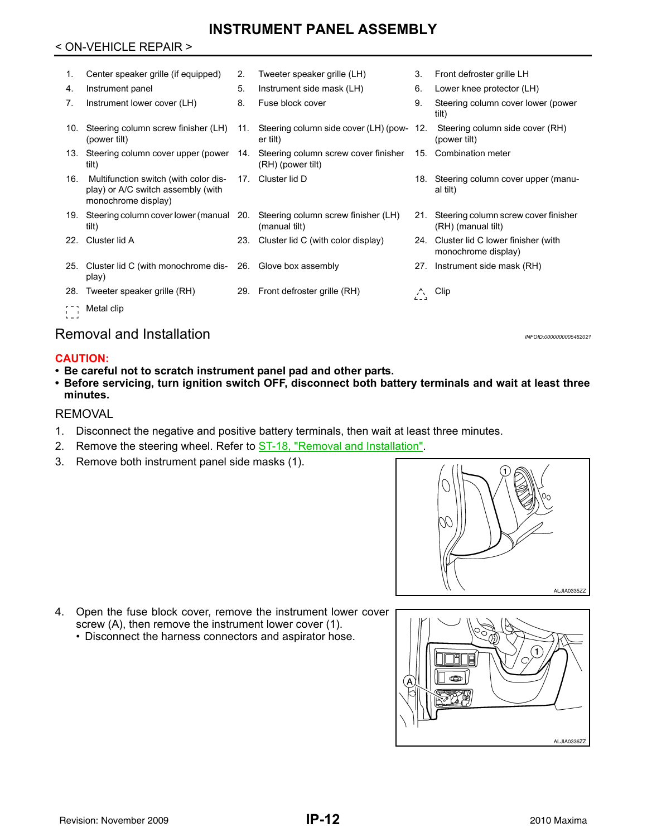#### < ON-VEHICLE REPAIR >

| 1.  | Center speaker grille (if equipped)                                                                | 2.  | Tweeter speaker grille (LH)                               | 3.  | Front defroster grille LH                                     |
|-----|----------------------------------------------------------------------------------------------------|-----|-----------------------------------------------------------|-----|---------------------------------------------------------------|
| 4.  | Instrument panel                                                                                   | 5.  | Instrument side mask (LH)                                 | 6.  | Lower knee protector (LH)                                     |
| 7.  | Instrument lower cover (LH)                                                                        | 8.  | Fuse block cover                                          | 9.  | Steering column cover lower (power<br>tilt)                   |
| 10. | Steering column screw finisher (LH)<br>(power tilt)                                                | 11. | Steering column side cover (LH) (pow- 12.<br>er tilt)     |     | Steering column side cover (RH)<br>(power tilt)               |
| 13. | Steering column cover upper (power<br>tilt)                                                        | 14. | Steering column screw cover finisher<br>(RH) (power tilt) |     | 15. Combination meter                                         |
| 16. | Multifunction switch (with color dis-<br>play) or A/C switch assembly (with<br>monochrome display) | 17. | Cluster lid D                                             | 18. | Steering column cover upper (manu-<br>al tilt)                |
|     | 19. Steering column cover lower (manual 20.<br>tilt)                                               |     | Steering column screw finisher (LH)<br>(manual tilt)      | 21. | Steering column screw cover finisher<br>(RH) (manual tilt)    |
| 22. | Cluster lid A                                                                                      | 23. | Cluster lid C (with color display)                        |     | 24. Cluster lid C lower finisher (with<br>monochrome display) |
| 25. | Cluster lid C (with monochrome dis- 26. Glove box assembly<br>play)                                |     |                                                           |     | 27. Instrument side mask (RH)                                 |
| 28. | Tweeter speaker grille (RH)                                                                        |     | 29. Front defroster grille (RH)                           | Δ   | Clip                                                          |
|     | Metal clip                                                                                         |     |                                                           |     |                                                               |

# <span id="page-11-0"></span>Removal and Installation *Installation INFOID:000000005462021*

#### **CAUTION:**

- **Be careful not to scratch instrument panel pad and other parts.**
- **Before servicing, turn ignition switch OFF, disconnect both battery terminals and wait at least three minutes.**

#### REMOVAL

- 1. Disconnect the negative and positive battery terminals, then wait at least three minutes.
- 2. Remove the steering wheel. Refer to **ST-18**, "Removal and Installation".
- 3. Remove both instrument panel side masks (1).



- 4. Open the fuse block cover, remove the instrument lower cover screw (A), then remove the instrument lower cover (1).
	- Disconnect the harness connectors and aspirator hose.

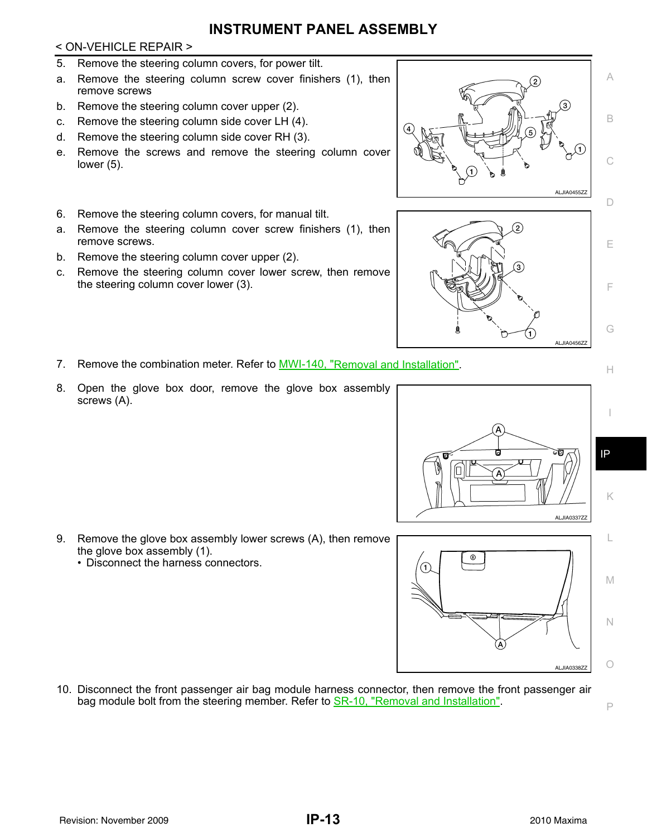#### < ON-VEHICLE REPAIR >

- 5. Remove the steering column covers, for power tilt.
- a. Remove the steering column screw cover finishers (1), then remove screws
- b. Remove the steering column cover upper (2).
- c. Remove the steering column side cover LH (4).
- d. Remove the steering column side cover RH (3).
- e. Remove the screws and remove the steering column cover lower (5).
- 6. Remove the steering column covers, for manual tilt.
- a. Remove the steering column cover screw finishers (1), then remove screws.
- b. Remove the steering column cover upper (2).
- c. Remove the steering column cover lower screw, then remove the steering column cover lower (3).
- 7. Remove the combination meter. Refer to MWI-140, "Removal and Installation".
- 8. Open the glove box door, remove the glove box assembly screws (A).

- 9. Remove the glove box assembly lower screws (A), then remove the glove box assembly (1).
	- Disconnect the harness connectors.

10. Disconnect the front passenger air bag module harness connector, then remove the front passenger air bag module bolt from the steering member. Refer to **SR-10**, "Removal and Installation".



Īа





I

IP

P

G

E

F

C

A

B

՜3`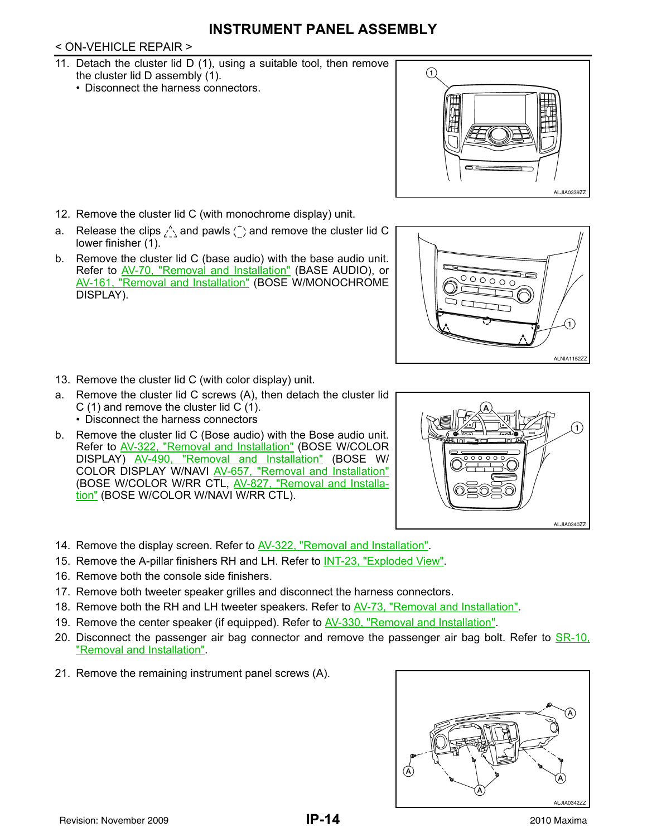## < ON-VEHICLE REPAIR >

- 11. Detach the cluster lid D (1), using a suitable tool, then remove the cluster lid D assembly (1).
	- Disconnect the harness connectors.



 $\circ$  $\circ$   $\circ$ 

- 12. Remove the cluster lid C (with monochrome display) unit.
- a. Release the clips  $\bigwedge$  and pawls  $\bigcap$  and remove the cluster lid C lower finisher (1).
- b. Remove the cluster lid C (base audio) with the base audio unit. Refer to AV-70, "Removal and Installation" (BASE AUDIO), or AV-161, "Removal and Installation" (BOSE W/MONOCHROME DISPLAY).



- a. Remove the cluster lid C screws (A), then detach the cluster lid C (1) and remove the cluster lid C (1). • Disconnect the harness connectors
- b. Remove the cluster lid C (Bose audio) with the Bose audio unit. Refer to AV-322, "Removal and Installation" (BOSE W/COLOR DISPLAY) AV-490, "Removal and Installation" (BOSE W/ COLOR DISPLAY W/NAVI AV-657, "Removal and Installation" (BOSE W/COLOR W/RR CTL, AV-827, "Removal and Installation" (BOSE W/COLOR W/NAVI W/RR CTL).



**ALNIA1152ZZ** 

T,

- 14. Remove the display screen. Refer to **AV-322**, "Removal and Installation".
- 15. Remove the A-pillar finishers RH and LH. Refer to INT-23, "Exploded View".
- 16. Remove both the console side finishers.
- 17. Remove both tweeter speaker grilles and disconnect the harness connectors.
- 18. Remove both the RH and LH tweeter speakers. Refer to AV-73, "Removal and Installation".
- 19. Remove the center speaker (if equipped). Refer to AV-330, "Removal and Installation".
- 20. Disconnect the passenger air bag connector and remove the passenger air bag bolt. Refer to SR-10, "Removal and Installation".
- 21. Remove the remaining instrument panel screws (A).

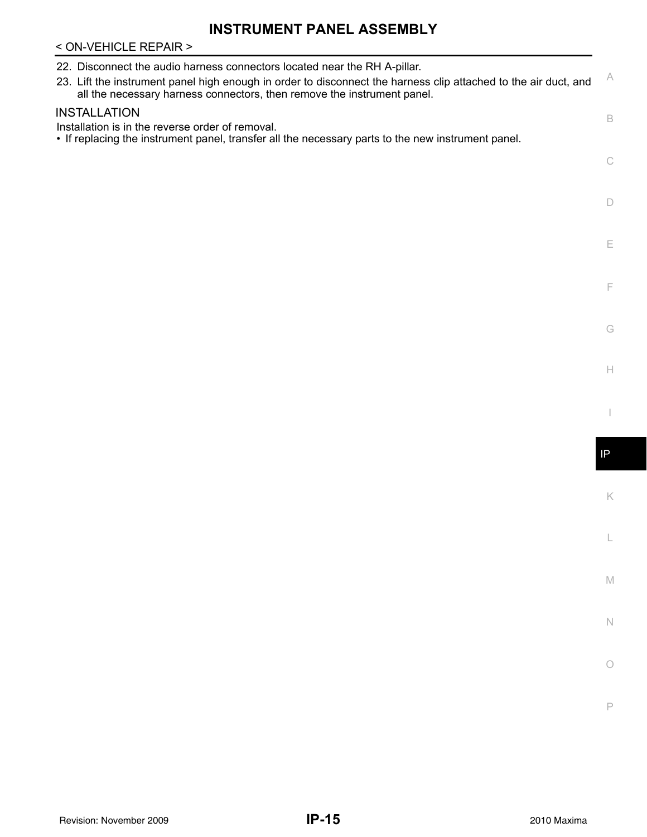### < ON-VEHICLE REPAIR >

| 22. Disconnect the audio harness connectors located near the RH A-pillar.<br>23. Lift the instrument panel high enough in order to disconnect the harness clip attached to the air duct, and<br>all the necessary harness connectors, then remove the instrument panel. | A             |
|-------------------------------------------------------------------------------------------------------------------------------------------------------------------------------------------------------------------------------------------------------------------------|---------------|
| <b>INSTALLATION</b><br>Installation is in the reverse order of removal.<br>• If replacing the instrument panel, transfer all the necessary parts to the new instrument panel.                                                                                           | B             |
|                                                                                                                                                                                                                                                                         | $\mathbb C$   |
|                                                                                                                                                                                                                                                                         | $\Box$        |
|                                                                                                                                                                                                                                                                         | E             |
|                                                                                                                                                                                                                                                                         | F             |
|                                                                                                                                                                                                                                                                         | G<br>H        |
|                                                                                                                                                                                                                                                                         |               |
|                                                                                                                                                                                                                                                                         | $\mathsf{IP}$ |
|                                                                                                                                                                                                                                                                         | K             |
|                                                                                                                                                                                                                                                                         |               |
|                                                                                                                                                                                                                                                                         | $\mathbb M$   |
|                                                                                                                                                                                                                                                                         | $\mathbb N$   |
|                                                                                                                                                                                                                                                                         |               |

Revision: November 2009 **2010 Maxima Revision: November 2009** 2010 Maxima

O

P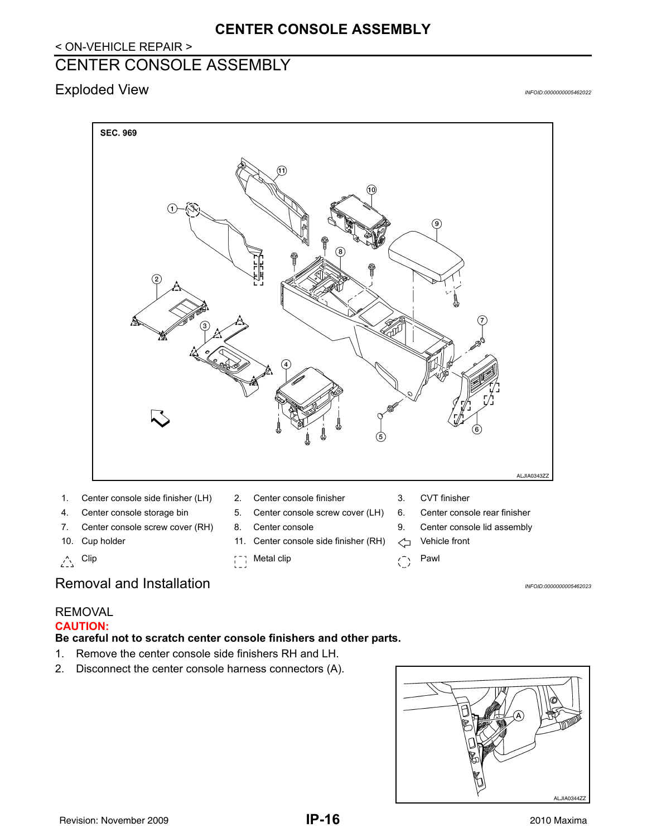# **CENTER CONSOLE ASSEMBLY**

#### < ON-VEHICLE REPAIR >

# <span id="page-15-0"></span>CENTER CONSOLE ASSEMBLY

# <span id="page-15-1"></span>Exploded View *INFOID:0000000005462022*



- 
- 
- 7. Center console screw cover (RH) 8. Center console 9. Center console lid assembly
- 
- 
- 
- 4. Center console storage bin 5. Center console screw cover (LH) 6. Center console rear finisher
	-
- 10. Cup holder 11. Center console side finisher (RH)  $\leq$  Vehicle front
- $\begin{matrix} 1 \end{matrix}$  Clip Pawl
- 
- 
- 
- -

# <span id="page-15-2"></span>Removal and Installation *Installation INFOID:000000005462023*

#### REMOVAL **CAUTION:**

#### **Be careful not to scratch center console finishers and other parts.**

- 1. Remove the center console side finishers RH and LH.
- 2. Disconnect the center console harness connectors (A).

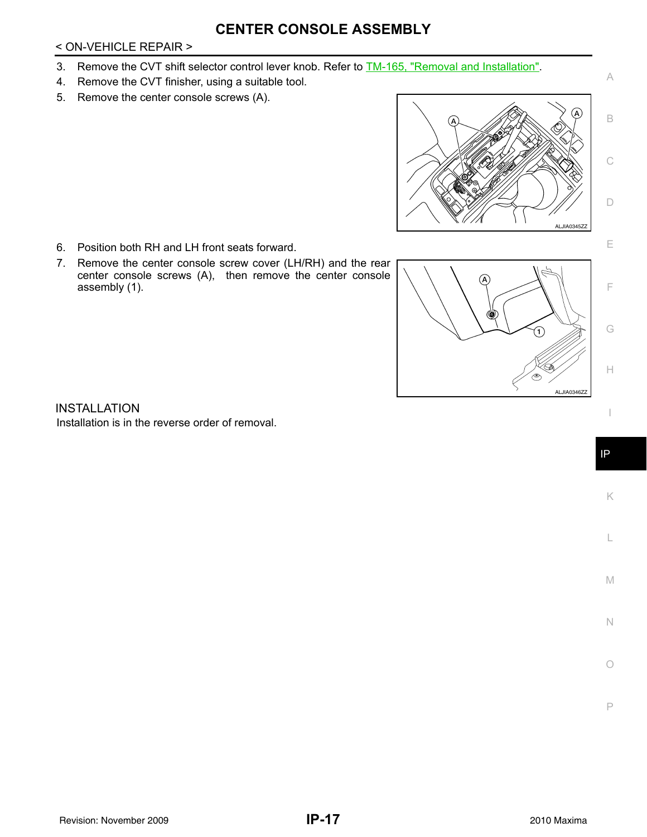# **CENTER CONSOLE ASSEMBLY**

#### < ON-VEHICLE REPAIR >

- 3. Remove the CVT shift selector control lever knob. Refer to TM-165, "Removal and Installation".
- 4. Remove the CVT finisher, using a suitable tool.
- 5. Remove the center console screws (A).



- 6. Position both RH and LH front seats forward.
- 7. Remove the center console screw cover (LH/RH) and the rear center console screws (A), then remove the center console assembly (1).



INSTALLATION Installation is in the reverse order of removal.

K

L

M

N

 $\bigcirc$ 

P

F

G

H

I